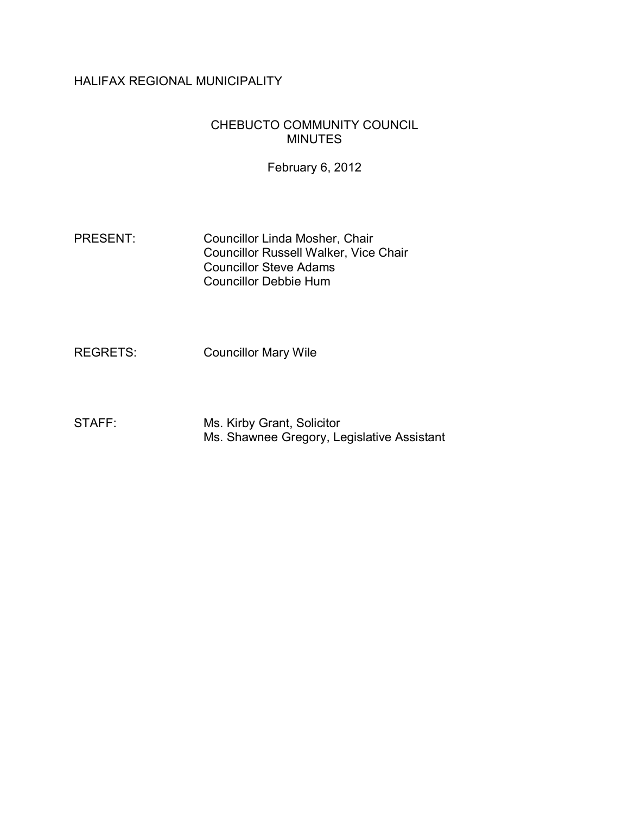# HALIFAX REGIONAL MUNICIPALITY

# CHEBUCTO COMMUNITY COUNCIL MINUTES

February 6, 2012

PRESENT: Councillor Linda Mosher, Chair Councillor Russell Walker, Vice Chair Councillor Steve Adams Councillor Debbie Hum

REGRETS: Councillor Mary Wile

STAFF: Ms. Kirby Grant, Solicitor Ms. Shawnee Gregory, Legislative Assistant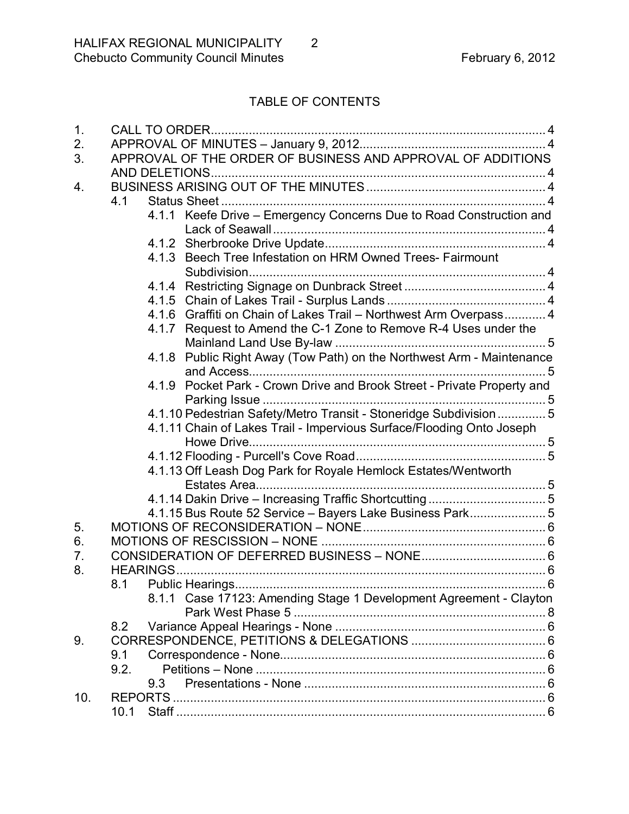# TABLE OF CONTENTS

| 1.  |                                                                         |  |  |  |
|-----|-------------------------------------------------------------------------|--|--|--|
| 2.  |                                                                         |  |  |  |
| 3.  | APPROVAL OF THE ORDER OF BUSINESS AND APPROVAL OF ADDITIONS             |  |  |  |
|     |                                                                         |  |  |  |
| 4.  |                                                                         |  |  |  |
|     | 4.1                                                                     |  |  |  |
|     | 4.1.1 Keefe Drive - Emergency Concerns Due to Road Construction and     |  |  |  |
|     |                                                                         |  |  |  |
|     | 4.1.3 Beech Tree Infestation on HRM Owned Trees- Fairmount              |  |  |  |
|     |                                                                         |  |  |  |
|     |                                                                         |  |  |  |
|     | 4.1.6 Graffiti on Chain of Lakes Trail - Northwest Arm Overpass 4       |  |  |  |
|     | 4.1.7 Request to Amend the C-1 Zone to Remove R-4 Uses under the        |  |  |  |
|     |                                                                         |  |  |  |
|     | 4.1.8 Public Right Away (Tow Path) on the Northwest Arm - Maintenance   |  |  |  |
|     | 4.1.9 Pocket Park - Crown Drive and Brook Street - Private Property and |  |  |  |
|     | 4.1.10 Pedestrian Safety/Metro Transit - Stoneridge Subdivision 5       |  |  |  |
|     | 4.1.11 Chain of Lakes Trail - Impervious Surface/Flooding Onto Joseph   |  |  |  |
|     |                                                                         |  |  |  |
|     |                                                                         |  |  |  |
|     | 4.1.13 Off Leash Dog Park for Royale Hemlock Estates/Wentworth          |  |  |  |
|     |                                                                         |  |  |  |
|     | 4.1.15 Bus Route 52 Service - Bayers Lake Business Park 5               |  |  |  |
| 5.  |                                                                         |  |  |  |
| 6.  |                                                                         |  |  |  |
| 7.  |                                                                         |  |  |  |
| 8.  |                                                                         |  |  |  |
|     | Public Hearings<br>$\delta$<br>8.1                                      |  |  |  |
|     | 8.1.1 Case 17123: Amending Stage 1 Development Agreement - Clayton      |  |  |  |
|     |                                                                         |  |  |  |
|     | 8.2                                                                     |  |  |  |
| 9.  |                                                                         |  |  |  |
|     | 9.1                                                                     |  |  |  |
|     | 9.2.                                                                    |  |  |  |
|     | 9.3                                                                     |  |  |  |
| 10. |                                                                         |  |  |  |
|     | 10.1                                                                    |  |  |  |
|     |                                                                         |  |  |  |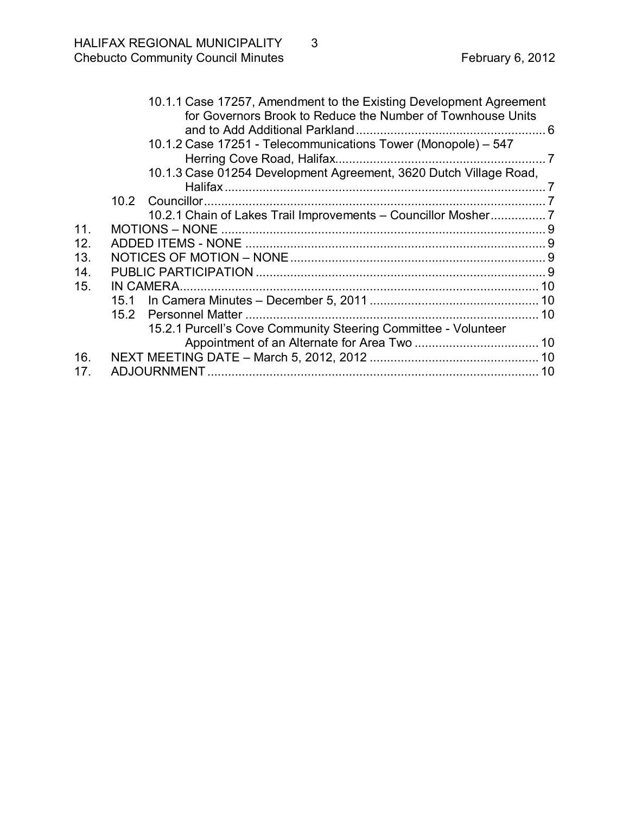|     | 10.1.1 Case 17257, Amendment to the Existing Development Agreement<br>for Governors Brook to Reduce the Number of Townhouse Units |  |
|-----|-----------------------------------------------------------------------------------------------------------------------------------|--|
|     |                                                                                                                                   |  |
|     | 10.1.2 Case 17251 - Telecommunications Tower (Monopole) - 547                                                                     |  |
|     |                                                                                                                                   |  |
|     | 10.1.3 Case 01254 Development Agreement, 3620 Dutch Village Road,                                                                 |  |
|     |                                                                                                                                   |  |
|     |                                                                                                                                   |  |
|     | 10.2.1 Chain of Lakes Trail Improvements - Councillor Mosher                                                                      |  |
| 11. |                                                                                                                                   |  |
| 12. |                                                                                                                                   |  |
| 13. |                                                                                                                                   |  |
| 14. |                                                                                                                                   |  |
| 15. |                                                                                                                                   |  |
|     |                                                                                                                                   |  |
|     |                                                                                                                                   |  |
|     | 15.2.1 Purcell's Cove Community Steering Committee - Volunteer                                                                    |  |
|     |                                                                                                                                   |  |
| 16. |                                                                                                                                   |  |
| 17. |                                                                                                                                   |  |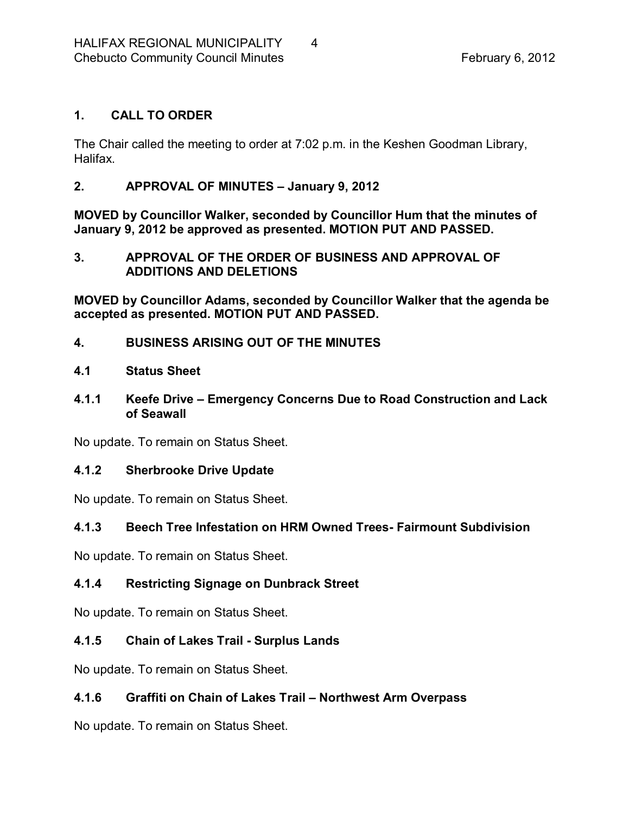# <span id="page-3-0"></span>**1. CALL TO ORDER**

The Chair called the meeting to order at 7:02 p.m. in the Keshen Goodman Library, Halifax.

## <span id="page-3-1"></span>**2. APPROVAL OF MINUTES – January 9, 2012**

**MOVED by Councillor Walker, seconded by Councillor Hum that the minutes of January 9, 2012 be approved as presented. MOTION PUT AND PASSED.** 

#### <span id="page-3-2"></span>**3. APPROVAL OF THE ORDER OF BUSINESS AND APPROVAL OF ADDITIONS AND DELETIONS**

**MOVED by Councillor Adams, seconded by Councillor Walker that the agenda be accepted as presented. MOTION PUT AND PASSED.** 

<span id="page-3-3"></span>**4. BUSINESS ARISING OUT OF THE MINUTES**

# <span id="page-3-4"></span>**4.1 Status Sheet**

## <span id="page-3-5"></span>**4.1.1 Keefe Drive – Emergency Concerns Due to Road Construction and Lack of Seawall**

No update. To remain on Status Sheet.

## <span id="page-3-6"></span>**4.1.2 Sherbrooke Drive Update**

No update. To remain on Status Sheet.

# <span id="page-3-7"></span>**4.1.3 Beech Tree Infestation on HRM Owned Trees Fairmount Subdivision**

No update. To remain on Status Sheet.

# <span id="page-3-8"></span>**4.1.4 Restricting Signage on Dunbrack Street**

No update. To remain on Status Sheet.

# <span id="page-3-9"></span>**4.1.5 Chain of Lakes Trail Surplus Lands**

No update. To remain on Status Sheet.

# <span id="page-3-10"></span>**4.1.6 Graffiti on Chain of Lakes Trail – Northwest Arm Overpass**

No update. To remain on Status Sheet.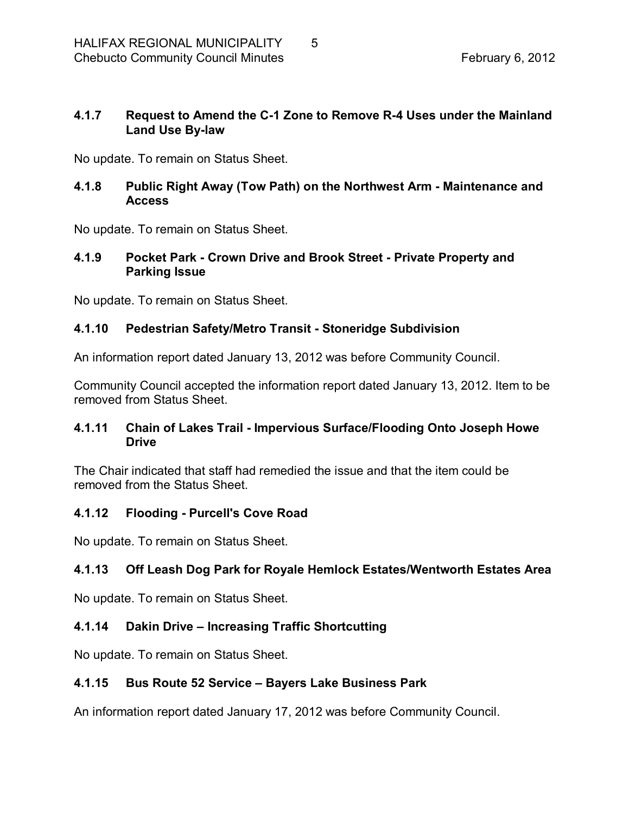## <span id="page-4-0"></span>**4.1.7 Request to Amend the C1 Zone to Remove R4 Uses under the Mainland Land Use By-law**

No update. To remain on Status Sheet.

## <span id="page-4-1"></span>**4.1.8 Public Right Away (Tow Path) on the Northwest Arm Maintenance and Access**

No update. To remain on Status Sheet.

## <span id="page-4-2"></span>**4.1.9 Pocket Park Crown Drive and Brook Street Private Property and Parking Issue**

No update. To remain on Status Sheet.

## <span id="page-4-3"></span>**4.1.10 Pedestrian Safety/Metro Transit Stoneridge Subdivision**

An information report dated January 13, 2012 was before Community Council.

Community Council accepted the information report dated January 13, 2012. Item to be removed from Status Sheet.

# <span id="page-4-4"></span>**4.1.11 Chain of Lakes Trail Impervious Surface/Flooding Onto Joseph Howe Drive**

The Chair indicated that staff had remedied the issue and that the item could be removed from the Status Sheet.

## <span id="page-4-5"></span>**4.1.12 Flooding Purcell's Cove Road**

No update. To remain on Status Sheet.

# <span id="page-4-6"></span>**4.1.13 Off Leash Dog Park for Royale Hemlock Estates/Wentworth Estates Area**

No update. To remain on Status Sheet.

## <span id="page-4-7"></span>**4.1.14 Dakin Drive – Increasing Traffic Shortcutting**

No update. To remain on Status Sheet.

## <span id="page-4-8"></span>**4.1.15 Bus Route 52 Service – Bayers Lake Business Park**

An information report dated January 17, 2012 was before Community Council.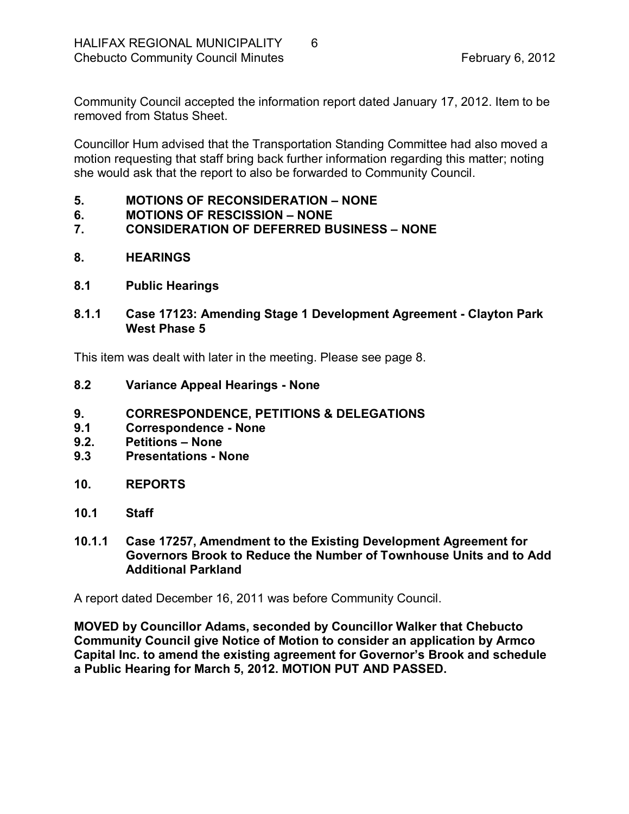Community Council accepted the information report dated January 17, 2012. Item to be removed from Status Sheet.

Councillor Hum advised that the Transportation Standing Committee had also moved a motion requesting that staff bring back further information regarding this matter; noting she would ask that the report to also be forwarded to Community Council.

- <span id="page-5-0"></span>**5. MOTIONS OF RECONSIDERATION – NONE**
- <span id="page-5-1"></span>**6. MOTIONS OF RESCISSION – NONE**

## <span id="page-5-2"></span>**7. CONSIDERATION OF DEFERRED BUSINESS – NONE**

- <span id="page-5-3"></span>**8. HEARINGS**
- <span id="page-5-4"></span>**8.1 Public Hearings**
- <span id="page-5-5"></span>**8.1.1 Case 17123: Amending Stage 1 Development Agreement Clayton Park West Phase 5**

This item was dealt with later in the meeting. Please see page 8.

- <span id="page-5-6"></span>**8.2 Variance Appeal Hearings None**
- <span id="page-5-7"></span>**9. CORRESPONDENCE, PETITIONS & DELEGATIONS**
- <span id="page-5-8"></span>**9.1 Correspondence None**
- <span id="page-5-9"></span>**9.2. Petitions – None**
- <span id="page-5-10"></span>**9.3 Presentations None**
- <span id="page-5-11"></span>**10. REPORTS**
- <span id="page-5-12"></span>**10.1 Staff**
- <span id="page-5-13"></span>**10.1.1 Case 17257, Amendment to the Existing Development Agreement for Governors Brook to Reduce the Number of Townhouse Units and to Add Additional Parkland**

A report dated December 16, 2011 was before Community Council.

**MOVED by Councillor Adams, seconded by Councillor Walker that Chebucto Community Council give Notice of Motion to consider an application by Armco Capital Inc. to amend the existing agreement for Governor's Brook and schedule a Public Hearing for March 5, 2012. MOTION PUT AND PASSED.**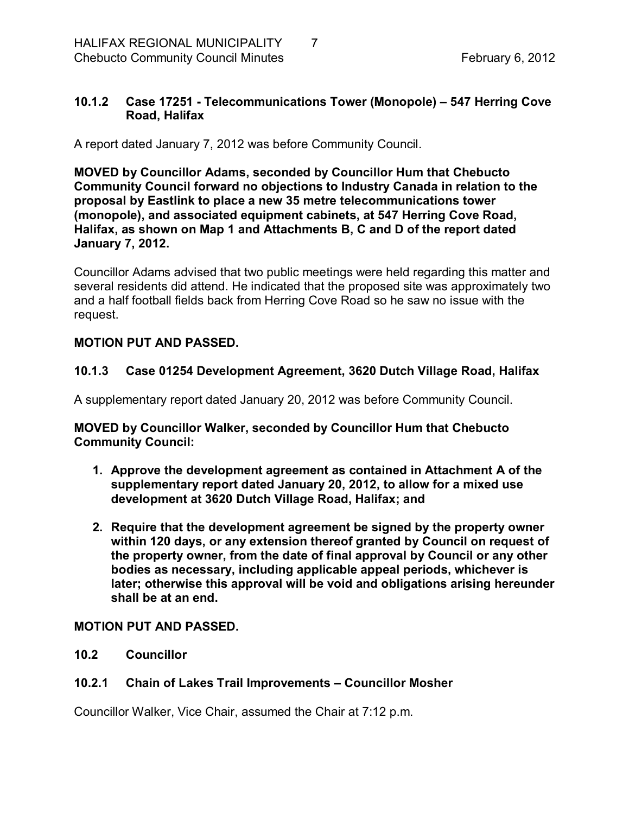# <span id="page-6-0"></span>**10.1.2 Case 17251 Telecommunications Tower (Monopole) – 547 Herring Cove Road, Halifax**

A report dated January 7, 2012 was before Community Council.

**MOVED by Councillor Adams, seconded by Councillor Hum that Chebucto Community Council forward no objections to Industry Canada in relation to the proposal by Eastlink to place a new 35 metre telecommunications tower (monopole), and associated equipment cabinets, at 547 Herring Cove Road, Halifax, as shown on Map 1 and Attachments B, C and D of the report dated January 7, 2012.**

Councillor Adams advised that two public meetings were held regarding this matter and several residents did attend. He indicated that the proposed site was approximately two and a half football fields back from Herring Cove Road so he saw no issue with the request.

## **MOTION PUT AND PASSED.**

# <span id="page-6-1"></span>**10.1.3 Case 01254 Development Agreement, 3620 Dutch Village Road, Halifax**

A supplementary report dated January 20, 2012 was before Community Council.

**MOVED by Councillor Walker, seconded by Councillor Hum that Chebucto Community Council:**

- **1. Approve the development agreement as contained in Attachment A of the supplementary report dated January 20, 2012, to allow for a mixed use development at 3620 Dutch Village Road, Halifax; and**
- **2. Require that the development agreement be signed by the property owner within 120 days, or any extension thereof granted by Council on request of the property owner, from the date of final approval by Council or any other bodies as necessary, including applicable appeal periods, whichever is later; otherwise this approval will be void and obligations arising hereunder shall be at an end.**

## **MOTION PUT AND PASSED.**

<span id="page-6-2"></span>**10.2 Councillor**

# <span id="page-6-3"></span>**10.2.1 Chain of Lakes Trail Improvements – Councillor Mosher**

Councillor Walker, Vice Chair, assumed the Chair at 7:12 p.m.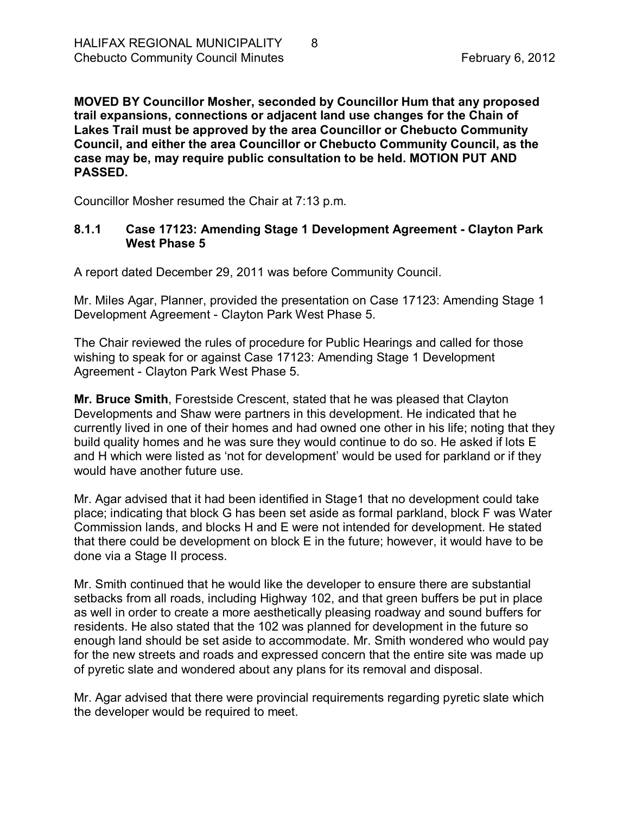**MOVED BY Councillor Mosher, seconded by Councillor Hum that any proposed trail expansions, connections or adjacent land use changes for the Chain of Lakes Trail must be approved by the area Councillor or Chebucto Community Council, and either the area Councillor or Chebucto Community Council, as the case may be, may require public consultation to be held. MOTION PUT AND PASSED.**

Councillor Mosher resumed the Chair at 7:13 p.m.

## **8.1.1 Case 17123: Amending Stage 1 Development Agreement Clayton Park West Phase 5**

A report dated December 29, 2011 was before Community Council.

Mr. Miles Agar, Planner, provided the presentation on Case 17123: Amending Stage 1 Development Agreement - Clayton Park West Phase 5.

The Chair reviewed the rules of procedure for Public Hearings and called for those wishing to speak for or against Case 17123: Amending Stage 1 Development Agreement - Clayton Park West Phase 5.

**Mr. Bruce Smith**, Forestside Crescent, stated that he was pleased that Clayton Developments and Shaw were partners in this development. He indicated that he currently lived in one of their homes and had owned one other in his life; noting that they build quality homes and he was sure they would continue to do so. He asked if lots E and H which were listed as 'not for development' would be used for parkland or if they would have another future use.

Mr. Agar advised that it had been identified in Stage1 that no development could take place; indicating that block G has been set aside as formal parkland, block F was Water Commission lands, and blocks H and E were not intended for development. He stated that there could be development on block E in the future; however, it would have to be done via a Stage II process.

Mr. Smith continued that he would like the developer to ensure there are substantial setbacks from all roads, including Highway 102, and that green buffers be put in place as well in order to create a more aesthetically pleasing roadway and sound buffers for residents. He also stated that the 102 was planned for development in the future so enough land should be set aside to accommodate. Mr. Smith wondered who would pay for the new streets and roads and expressed concern that the entire site was made up of pyretic slate and wondered about any plans for its removal and disposal.

Mr. Agar advised that there were provincial requirements regarding pyretic slate which the developer would be required to meet.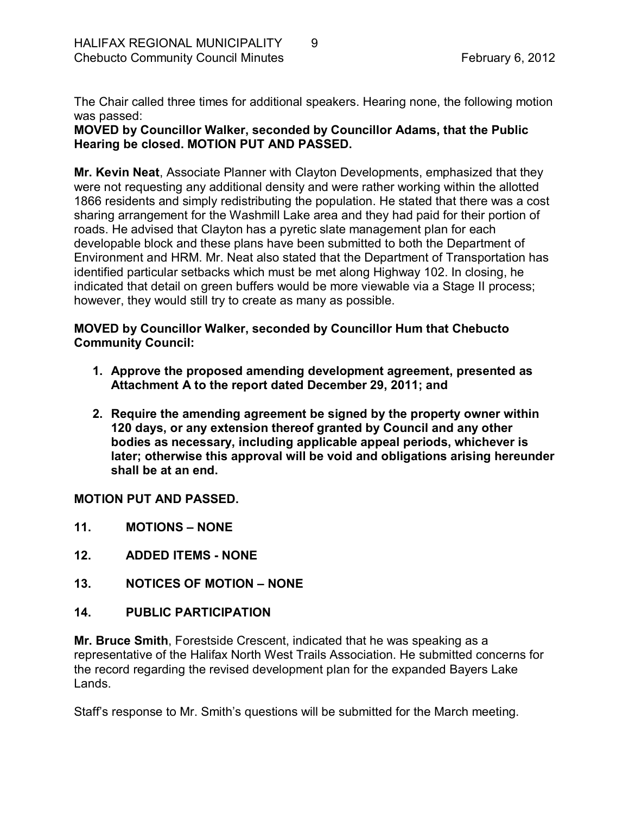The Chair called three times for additional speakers. Hearing none, the following motion was passed:

**MOVED by Councillor Walker, seconded by Councillor Adams, that the Public Hearing be closed. MOTION PUT AND PASSED.** 

**Mr. Kevin Neat**, Associate Planner with Clayton Developments, emphasized that they were not requesting any additional density and were rather working within the allotted 1866 residents and simply redistributing the population. He stated that there was a cost sharing arrangement for the Washmill Lake area and they had paid for their portion of roads. He advised that Clayton has a pyretic slate management plan for each developable block and these plans have been submitted to both the Department of Environment and HRM. Mr. Neat also stated that the Department of Transportation has identified particular setbacks which must be met along Highway 102. In closing, he indicated that detail on green buffers would be more viewable via a Stage II process; however, they would still try to create as many as possible.

## **MOVED by Councillor Walker, seconded by Councillor Hum that Chebucto Community Council:**

- **1. Approve the proposed amending development agreement, presented as Attachment A to the report dated December 29, 2011; and**
- **2. Require the amending agreement be signed by the property owner within 120 days, or any extension thereof granted by Council and any other bodies as necessary, including applicable appeal periods, whichever is later; otherwise this approval will be void and obligations arising hereunder shall be at an end.**

**MOTION PUT AND PASSED.** 

- <span id="page-8-0"></span>**11. MOTIONS – NONE**
- <span id="page-8-1"></span>12. **ADDED ITEMS - NONE**
- <span id="page-8-2"></span>**13. NOTICES OF MOTION – NONE**
- <span id="page-8-3"></span>**14. PUBLIC PARTICIPATION**

**Mr. Bruce Smith**, Forestside Crescent, indicated that he was speaking as a representative of the Halifax North West Trails Association. He submitted concerns for the record regarding the revised development plan for the expanded Bayers Lake Lands.

Staff's response to Mr. Smith's questions will be submitted for the March meeting.